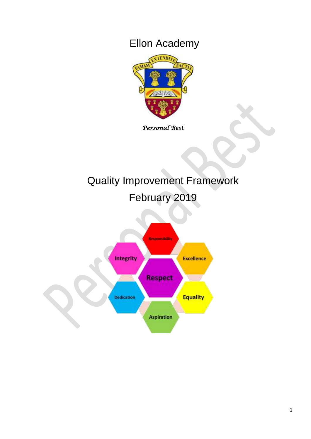## Ellon Academy



*Personal Best* 

# Quality Improvement Framework

February 2019

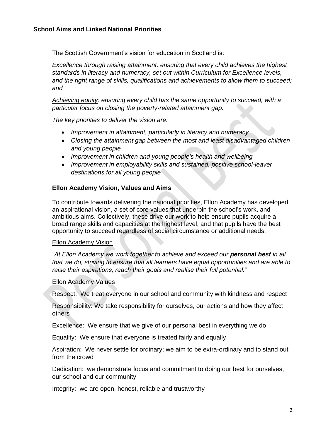The Scottish Government's vision for education in Scotland is:

*Excellence through raising attainment: ensuring that every child achieves the highest standards in literacy and numeracy, set out within Curriculum for Excellence levels, and the right range of skills, qualifications and achievements to allow them to succeed; and*

*Achieving equity: ensuring every child has the same opportunity to succeed, with a particular focus on closing the poverty-related attainment gap.*

*The key priorities to deliver the vision are:* 

- *Improvement in attainment, particularly in literacy and numeracy*
- *Closing the attainment gap between the most and least disadvantaged children and young people*
- *Improvement in children and young people's health and wellbeing*
- *Improvement in employability skills and sustained, positive school-leaver destinations for all young people*

#### **Ellon Academy Vision, Values and Aims**

To contribute towards delivering the national priorities, Ellon Academy has developed an aspirational vision, a set of core values that underpin the school's work, and ambitious aims. Collectively, these drive our work to help ensure pupils acquire a broad range skills and capacities at the highest level, and that pupils have the best opportunity to succeed regardless of social circumstance or additional needs.

#### Ellon Academy Vision

*"At Ellon Academy we work together to achieve and exceed our personal best in all that we do, striving to ensure that all learners have equal opportunities and are able to raise their aspirations, reach their goals and realise their full potential."*

#### Ellon Academy Values

Respect: We treat everyone in our school and community with kindness and respect

Responsibility: We take responsibility for ourselves, our actions and how they affect others

Excellence: We ensure that we give of our personal best in everything we do

Equality: We ensure that everyone is treated fairly and equally

Aspiration: We never settle for ordinary; we aim to be extra-ordinary and to stand out from the crowd

Dedication: we demonstrate focus and commitment to doing our best for ourselves, our school and our community

Integrity: we are open, honest, reliable and trustworthy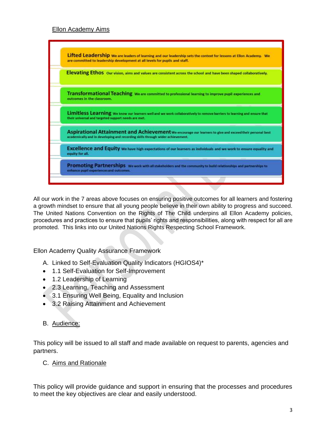## Ellon Academy Aims



All our work in the 7 areas above focuses on ensuring positive outcomes for all learners and fostering a growth mindset to ensure that all young people believe in their own ability to progress and succeed. The United Nations Convention on the Rights of The Child underpins all Ellon Academy policies, procedures and practices to ensure that pupils' rights and responsibilities, along with respect for all are promoted. This links into our United Nations Rights Respecting School Framework.

Ellon Academy Quality Assurance Framework

- A. Linked to Self-Evaluation Quality Indicators (HGIOS4)\*
- 1.1 Self-Evaluation for Self-Improvement
- 1.2 Leadership of Learning
- 2.3 Learning, Teaching and Assessment
- 3.1 Ensuring Well Being, Equality and Inclusion
- 3.2 Raising Attainment and Achievement

#### B. Audience:

This policy will be issued to all staff and made available on request to parents, agencies and partners.

#### C. Aims and Rationale

This policy will provide guidance and support in ensuring that the processes and procedures to meet the key objectives are clear and easily understood.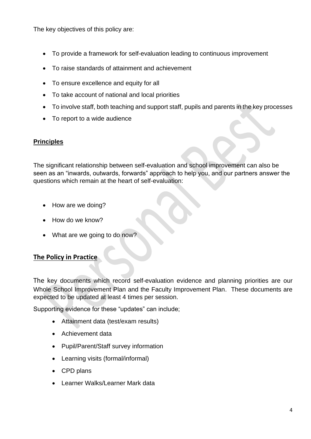The key objectives of this policy are:

- To provide a framework for self-evaluation leading to continuous improvement
- To raise standards of attainment and achievement
- To ensure excellence and equity for all
- To take account of national and local priorities
- To involve staff, both teaching and support staff, pupils and parents in the key processes
- To report to a wide audience

## **Principles**

The significant relationship between self-evaluation and school improvement can also be seen as an "inwards, outwards, forwards" approach to help you, and our partners answer the questions which remain at the heart of self-evaluation:

- How are we doing?
- How do we know?
- What are we going to do now?

## **The Policy in Practice**

The key documents which record self-evaluation evidence and planning priorities are our Whole School Improvement Plan and the Faculty Improvement Plan. These documents are expected to be updated at least 4 times per session.

Supporting evidence for these "updates" can include;

- Attainment data (test/exam results)
- Achievement data
- Pupil/Parent/Staff survey information
- Learning visits (formal/informal)
- CPD plans
- Learner Walks/Learner Mark data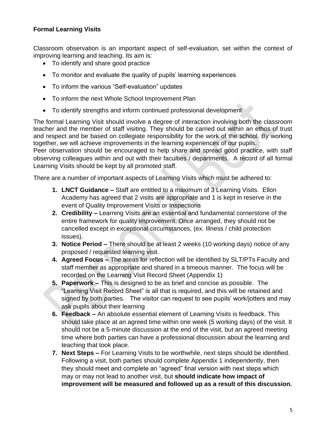## **Formal Learning Visits**

Classroom observation is an important aspect of self-evaluation, set within the context of improving learning and teaching. Its aim is:

- To identify and share good practice
- To monitor and evaluate the quality of pupils' learning experiences
- To inform the various "Self-evaluation" updates
- To inform the next Whole School Improvement Plan
- To identify strengths and inform continued professional development

The formal Learning Visit should involve a degree of interaction involving both the classroom teacher and the member of staff visiting. They should be carried out within an ethos of trust and respect and be based on collegiate responsibility for the work of the school. By working together, we will achieve improvements in the learning experiences of our pupils.

Peer observation should be encouraged to help share and spread good practice, with staff observing colleagues within and out with their faculties / departments. A record of all formal Learning Visits should be kept by all promoted staff.

There are a number of important aspects of Learning Visits which must be adhered to:

- **1. LNCT Guidance –** Staff are entitled to a maximum of 3 Learning Visits. Ellon Academy has agreed that 2 visits are appropriate and 1 is kept in reserve in the event of Quality Improvement Visits or Inspections
- **2. Credibility –** Learning Visits are an essential and fundamental cornerstone of the entire framework for quality improvement. Once arranged, they should not be cancelled except in exceptional circumstances, (ex. Illness / child protection issues).
- **3. Notice Period –** There should be at least 2 weeks (10 working days) notice of any proposed / requested learning visit.
- **4. Agreed Focus –** The areas for reflection will be identified by SLT/PTs Faculty and staff member as appropriate and shared in a timeous manner. The focus will be recorded on the Learning Visit Record Sheet (Appendix 1)
- **5. Paperwork –** This is designed to be as brief and concise as possible. The "Learning Visit Record Sheet" is all that is required, and this will be retained and signed by both parties. The visitor can request to see pupils' work/jotters and may ask pupils about their learning
- **6. Feedback –** An absolute essential element of Learning Visits is feedback. This should take place at an agreed time within one week (5 working days) of the visit. It should not be a 5-minute discussion at the end of the visit, but an agreed meeting time where both parties can have a professional discussion about the learning and teaching that took place.
- **7. Next Steps –** For Learning Visits to be worthwhile, next steps should be identified. Following a visit, both parties should complete Appendix 1 independently, then they should meet and complete an "agreed" final version with next steps which may or may not lead to another visit, but **should indicate how impact of improvement will be measured and followed up as a result of this discussion.**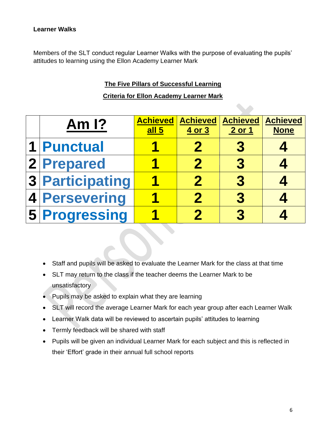Members of the SLT conduct regular Learner Walks with the purpose of evaluating the pupils' attitudes to learning using the Ellon Academy Learner Mark

## **The Five Pillars of Successful Learning**

## **Criteria for Ellon Academy Learner Mark**

| Am $\overline{1}$ ? | <b>Achieved</b><br>all <sub>5</sub> | <b>Achieved</b><br>4 or 3 | Achieved<br>2 or 1 | <b>Achieved</b><br><b>None</b> |
|---------------------|-------------------------------------|---------------------------|--------------------|--------------------------------|
| 1 Punctual          |                                     |                           |                    |                                |
| 2 Prepared          |                                     | $\mathbf 2$               |                    |                                |
| 3 Participating     |                                     | 2                         | 3                  |                                |
| 4 Persevering       |                                     | 2                         |                    |                                |
| 5 Progressing       |                                     |                           |                    |                                |

- Staff and pupils will be asked to evaluate the Learner Mark for the class at that time
- SLT may return to the class if the teacher deems the Learner Mark to be unsatisfactory
- Pupils may be asked to explain what they are learning
- SLT will record the average Learner Mark for each year group after each Learner Walk
- Learner Walk data will be reviewed to ascertain pupils' attitudes to learning
- Termly feedback will be shared with staff
- Pupils will be given an individual Learner Mark for each subject and this is reflected in their 'Effort' grade in their annual full school reports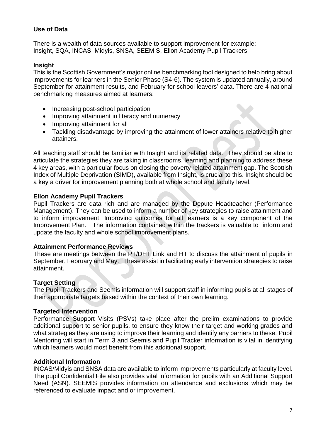### **Use of Data**

There is a wealth of data sources available to support improvement for example: Insight, SQA, INCAS, Midyis, SNSA, SEEMIS, Ellon Academy Pupil Trackers

## **Insight**

This is the Scottish Government's major online benchmarking tool designed to help bring about improvements for learners in the Senior Phase (S4-6). The system is updated annually, around September for attainment results, and February for school leavers' data. There are 4 national benchmarking measures aimed at learners:

- Increasing post-school participation
- Improving attainment in literacy and numeracy
- Improving attainment for all
- Tackling disadvantage by improving the attainment of lower attainers relative to higher attainers.

All teaching staff should be familiar with Insight and its related data. They should be able to articulate the strategies they are taking in classrooms, learning and planning to address these 4 key areas, with a particular focus on closing the poverty related attainment gap. The Scottish Index of Multiple Deprivation (SIMD), available from Insight, is crucial to this. Insight should be a key a driver for improvement planning both at whole school and faculty level.

## **Ellon Academy Pupil Trackers**

Pupil Trackers are data rich and are managed by the Depute Headteacher (Performance Management). They can be used to inform a number of key strategies to raise attainment and to inform improvement. Improving outcomes for all learners is a key component of the Improvement Plan. The information contained within the trackers is valuable to inform and update the faculty and whole school improvement plans.

#### **Attainment Performance Reviews**

These are meetings between the PT/DHT Link and HT to discuss the attainment of pupils in September, February and May. These assist in facilitating early intervention strategies to raise attainment.

## **Target Setting**

The Pupil Trackers and Seemis information will support staff in informing pupils at all stages of their appropriate targets based within the context of their own learning.

#### **Targeted Intervention**

Performance Support Visits (PSVs) take place after the prelim examinations to provide additional support to senior pupils, to ensure they know their target and working grades and what strategies they are using to improve their learning and identify any barriers to these. Pupil Mentoring will start in Term 3 and Seemis and Pupil Tracker information is vital in identifying which learners would most benefit from this additional support.

#### **Additional Information**

INCAS/Midyis and SNSA data are available to inform improvements particularly at faculty level. The pupil Confidential File also provides vital information for pupils with an Additional Support Need (ASN). SEEMIS provides information on attendance and exclusions which may be referenced to evaluate impact and or improvement.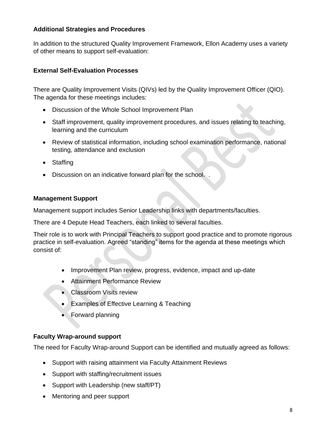## **Additional Strategies and Procedures**

In addition to the structured Quality Improvement Framework, Ellon Academy uses a variety of other means to support self-evaluation:

## **External Self-Evaluation Processes**

There are Quality Improvement Visits (QIVs) led by the Quality Improvement Officer (QIO). The agenda for these meetings includes:

- Discussion of the Whole School Improvement Plan
- Staff improvement, quality improvement procedures, and issues relating to teaching, learning and the curriculum
- Review of statistical information, including school examination performance, national testing, attendance and exclusion
- Staffing
- Discussion on an indicative forward plan for the school. .

## **Management Support**

Management support includes Senior Leadership links with departments/faculties.

There are 4 Depute Head Teachers, each linked to several faculties.

Their role is to work with Principal Teachers to support good practice and to promote rigorous practice in self-evaluation. Agreed "standing" items for the agenda at these meetings which consist of:

- Improvement Plan review, progress, evidence, impact and up-date
- Attainment Performance Review
- Classroom Visits review
- Examples of Effective Learning & Teaching
- Forward planning

## **Faculty Wrap-around support**

The need for Faculty Wrap-around Support can be identified and mutually agreed as follows:

- Support with raising attainment via Faculty Attainment Reviews
- Support with staffing/recruitment issues
- Support with Leadership (new staff/PT)
- Mentoring and peer support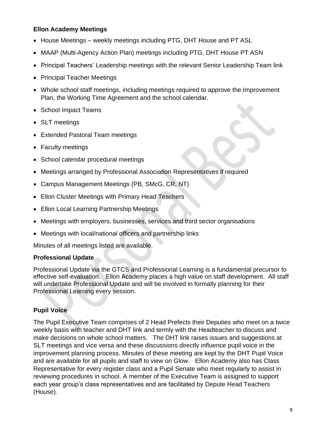## **Ellon Academy Meetings**

- House Meetings weekly meetings including PTG, DHT House and PT ASL
- MAAP (Multi-Agency Action Plan) meetings including PTG, DHT House PT ASN
- Principal Teachers' Leadership meetings with the relevant Senior Leadership Team link
- Principal Teacher Meetings
- Whole school staff meetings, including meetings required to approve the Improvement Plan, the Working Time Agreement and the school calendar.
- School Impact Teams
- SLT meetings
- Extended Pastoral Team meetings
- Faculty meetings
- School calendar procedural meetings
- Meetings arranged by Professional Association Representatives if required
- Campus Management Meetings (PB, SMcG, CR, NT)
- Ellon Cluster Meetings with Primary Head Teachers
- Ellon Local Learning Partnership Meetings
- Meetings with employers, businesses, services and third sector organisations
- Meetings with local/national officers and partnership links

Minutes of all meetings listed are available.

#### **Professional Update**

Professional Update via the GTCS and Professional Learning is a fundamental precursor to effective self-evaluation. Ellon Academy places a high value on staff development. All staff will undertake Professional Update and will be involved in formally planning for their Professional Learning every session.

## **Pupil Voice**

The Pupil Executive Team comprises of 2 Head Prefects their Deputies who meet on a twice weekly basis with teacher and DHT link and termly with the Headteacher to discuss and make decisions on whole school matters. The DHT link raises issues and suggestions at SLT meetings and vice versa and these discussions directly influence pupil voice in the improvement planning process. Minutes of these meeting are kept by the DHT Pupil Voice and are available for all pupils and staff to view on Glow. Ellon Academy also has Class Representative for every register class and a Pupil Senate who meet regularly to assist in reviewing procedures in school. A member of the Executive Team is assigned to support each year group's class representatives and are facilitated by Depute Head Teachers (House).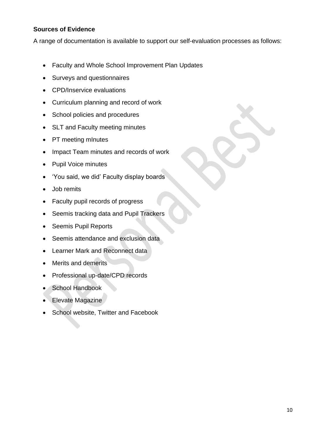## **Sources of Evidence**

A range of documentation is available to support our self-evaluation processes as follows:

- Faculty and Whole School Improvement Plan Updates
- Surveys and questionnaires
- CPD/Inservice evaluations
- Curriculum planning and record of work
- School policies and procedures
- SLT and Faculty meeting minutes
- PT meeting mInutes
- Impact Team minutes and records of work
- Pupil Voice minutes
- 'You said, we did' Faculty display boards
- Job remits
- Faculty pupil records of progress
- Seemis tracking data and Pupil Trackers
- Seemis Pupil Reports
- Seemis attendance and exclusion data
- Learner Mark and Reconnect data
- Merits and demerits
- Professional up-date/CPD records
- School Handbook
- Elevate Magazine
- School website, Twitter and Facebook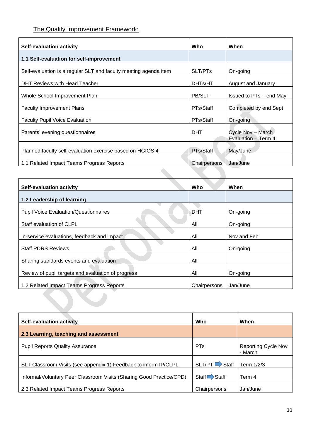## The Quality Improvement Framework:

| <b>Self-evaluation activity</b>                                  | Who           | When                                     |
|------------------------------------------------------------------|---------------|------------------------------------------|
| 1.1 Self-evaluation for self-improvement                         |               |                                          |
| Self-evaluation is a regular SLT and faculty meeting agenda item | SLT/PTs       | On-going                                 |
| DHT Reviews with Head Teacher                                    | DHTs/HT       | August and January                       |
| Whole School Improvement Plan                                    | <b>PB/SLT</b> | Issued to PTs – end May                  |
| <b>Faculty Improvement Plans</b>                                 | PTs/Staff     | Completed by end Sept                    |
| <b>Faculty Pupil Voice Evaluation</b>                            | PTs/Staff     | On-going                                 |
| Parents' evening questionnaires                                  | <b>DHT</b>    | Cycle Nov - March<br>Evaluation - Term 4 |
| Planned faculty self-evaluation exercise based on HGIOS 4        | PTs/Staff     | May/June                                 |
| 1.1 Related Impact Teams Progress Reports                        | Chairpersons  | Jan/June                                 |

| <b>Self-evaluation activity</b>                    | Who          | When        |
|----------------------------------------------------|--------------|-------------|
| 1.2 Leadership of learning                         |              |             |
| <b>Pupil Voice Evaluation/Questionnaires</b>       | DHT          | On-going    |
| Staff evaluation of CLPL                           | All          | On-going    |
| In-service evaluations, feedback and impact        | All          | Nov and Feb |
| <b>Staff PDRS Reviews</b>                          | All          | On-going    |
| Sharing standards events and evaluation            | All          |             |
| Review of pupil targets and evaluation of progress | All          | On-going    |
| 1.2 Related Impact Teams Progress Reports          | Chairpersons | Jan/June    |
|                                                    |              |             |
|                                                    |              |             |

| <b>Self-evaluation activity</b>                                      | <b>Who</b>              | When                                  |
|----------------------------------------------------------------------|-------------------------|---------------------------------------|
| 2.3 Learning, teaching and assessment                                |                         |                                       |
| <b>Pupil Reports Quality Assurance</b>                               | <b>PTs</b>              | <b>Reporting Cycle Nov</b><br>- March |
| SLT Classroom Visits (see appendix 1) Feedback to inform IP/CLPL     | $SLT/PT \implies$ Staff | Term 1/2/3                            |
| Informal/Voluntary Peer Classroom Visits (Sharing Good Practice/CPD) | Staff Staff             | Term 4                                |
| 2.3 Related Impact Teams Progress Reports                            | Chairpersons            | Jan/June                              |